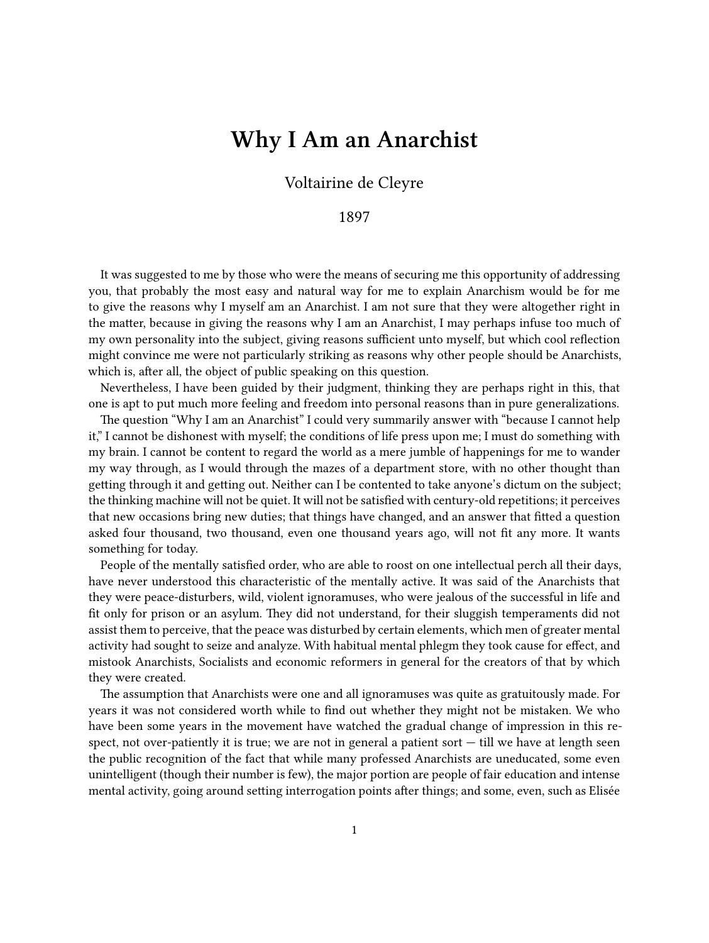## **Why I Am an Anarchist**

Voltairine de Cleyre

## 1897

It was suggested to me by those who were the means of securing me this opportunity of addressing you, that probably the most easy and natural way for me to explain Anarchism would be for me to give the reasons why I myself am an Anarchist. I am not sure that they were altogether right in the matter, because in giving the reasons why I am an Anarchist, I may perhaps infuse too much of my own personality into the subject, giving reasons sufficient unto myself, but which cool reflection might convince me were not particularly striking as reasons why other people should be Anarchists, which is, after all, the object of public speaking on this question.

Nevertheless, I have been guided by their judgment, thinking they are perhaps right in this, that one is apt to put much more feeling and freedom into personal reasons than in pure generalizations.

The question "Why I am an Anarchist" I could very summarily answer with "because I cannot help it," I cannot be dishonest with myself; the conditions of life press upon me; I must do something with my brain. I cannot be content to regard the world as a mere jumble of happenings for me to wander my way through, as I would through the mazes of a department store, with no other thought than getting through it and getting out. Neither can I be contented to take anyone's dictum on the subject; the thinking machine will not be quiet. It will not be satisfied with century-old repetitions; it perceives that new occasions bring new duties; that things have changed, and an answer that fitted a question asked four thousand, two thousand, even one thousand years ago, will not fit any more. It wants something for today.

People of the mentally satisfied order, who are able to roost on one intellectual perch all their days, have never understood this characteristic of the mentally active. It was said of the Anarchists that they were peace-disturbers, wild, violent ignoramuses, who were jealous of the successful in life and fit only for prison or an asylum. They did not understand, for their sluggish temperaments did not assist them to perceive, that the peace was disturbed by certain elements, which men of greater mental activity had sought to seize and analyze. With habitual mental phlegm they took cause for effect, and mistook Anarchists, Socialists and economic reformers in general for the creators of that by which they were created.

The assumption that Anarchists were one and all ignoramuses was quite as gratuitously made. For years it was not considered worth while to find out whether they might not be mistaken. We who have been some years in the movement have watched the gradual change of impression in this respect, not over-patiently it is true; we are not in general a patient sort — till we have at length seen the public recognition of the fact that while many professed Anarchists are uneducated, some even unintelligent (though their number is few), the major portion are people of fair education and intense mental activity, going around setting interrogation points after things; and some, even, such as Elisée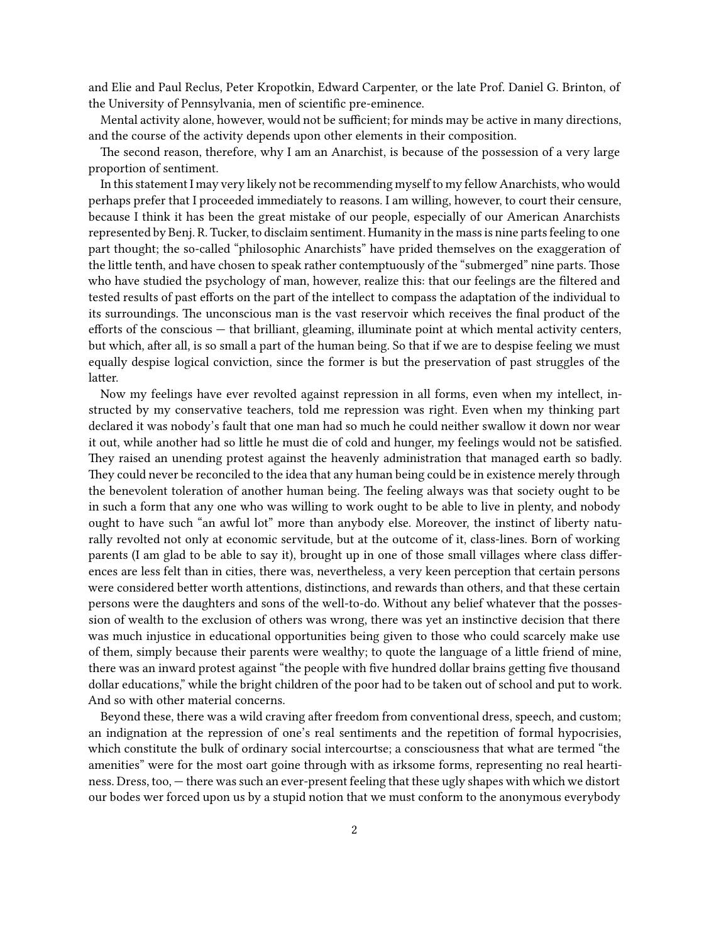and Elie and Paul Reclus, Peter Kropotkin, Edward Carpenter, or the late Prof. Daniel G. Brinton, of the University of Pennsylvania, men of scientific pre-eminence.

Mental activity alone, however, would not be sufficient; for minds may be active in many directions, and the course of the activity depends upon other elements in their composition.

The second reason, therefore, why I am an Anarchist, is because of the possession of a very large proportion of sentiment.

In this statement I may very likely not be recommending myself to my fellow Anarchists, who would perhaps prefer that I proceeded immediately to reasons. I am willing, however, to court their censure, because I think it has been the great mistake of our people, especially of our American Anarchists represented by Benj. R. Tucker, to disclaim sentiment. Humanity in the mass is nine parts feeling to one part thought; the so-called "philosophic Anarchists" have prided themselves on the exaggeration of the little tenth, and have chosen to speak rather contemptuously of the "submerged" nine parts. Those who have studied the psychology of man, however, realize this: that our feelings are the filtered and tested results of past efforts on the part of the intellect to compass the adaptation of the individual to its surroundings. The unconscious man is the vast reservoir which receives the final product of the efforts of the conscious — that brilliant, gleaming, illuminate point at which mental activity centers, but which, after all, is so small a part of the human being. So that if we are to despise feeling we must equally despise logical conviction, since the former is but the preservation of past struggles of the latter.

Now my feelings have ever revolted against repression in all forms, even when my intellect, instructed by my conservative teachers, told me repression was right. Even when my thinking part declared it was nobody's fault that one man had so much he could neither swallow it down nor wear it out, while another had so little he must die of cold and hunger, my feelings would not be satisfied. They raised an unending protest against the heavenly administration that managed earth so badly. They could never be reconciled to the idea that any human being could be in existence merely through the benevolent toleration of another human being. The feeling always was that society ought to be in such a form that any one who was willing to work ought to be able to live in plenty, and nobody ought to have such "an awful lot" more than anybody else. Moreover, the instinct of liberty naturally revolted not only at economic servitude, but at the outcome of it, class-lines. Born of working parents (I am glad to be able to say it), brought up in one of those small villages where class differences are less felt than in cities, there was, nevertheless, a very keen perception that certain persons were considered better worth attentions, distinctions, and rewards than others, and that these certain persons were the daughters and sons of the well-to-do. Without any belief whatever that the possession of wealth to the exclusion of others was wrong, there was yet an instinctive decision that there was much injustice in educational opportunities being given to those who could scarcely make use of them, simply because their parents were wealthy; to quote the language of a little friend of mine, there was an inward protest against "the people with five hundred dollar brains getting five thousand dollar educations," while the bright children of the poor had to be taken out of school and put to work. And so with other material concerns.

Beyond these, there was a wild craving after freedom from conventional dress, speech, and custom; an indignation at the repression of one's real sentiments and the repetition of formal hypocrisies, which constitute the bulk of ordinary social intercourtse; a consciousness that what are termed "the amenities" were for the most oart goine through with as irksome forms, representing no real heartiness. Dress, too, — there was such an ever-present feeling that these ugly shapes with which we distort our bodes wer forced upon us by a stupid notion that we must conform to the anonymous everybody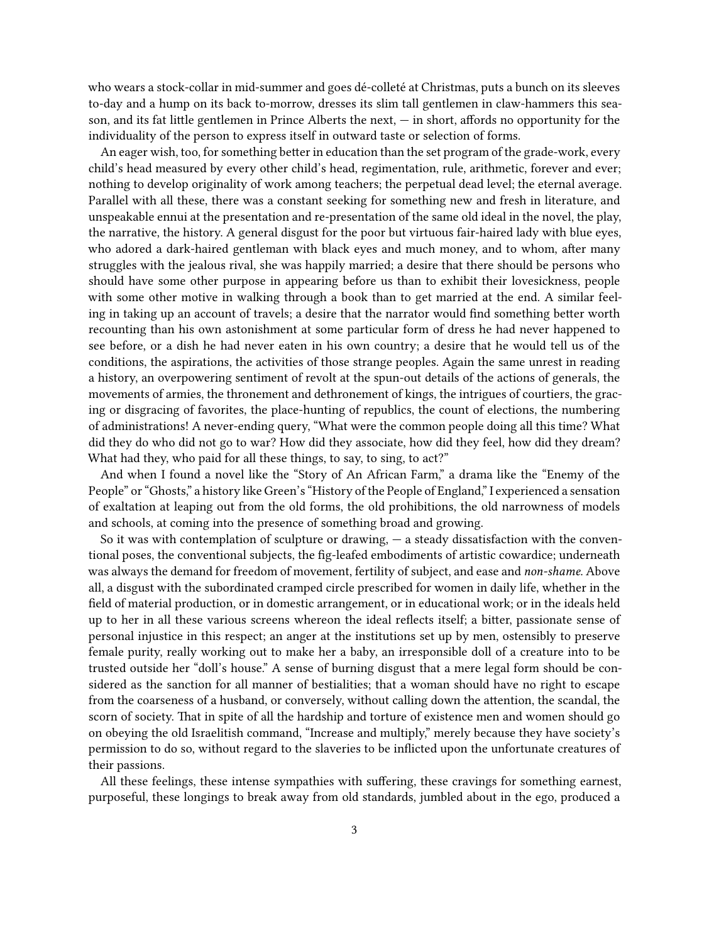who wears a stock-collar in mid-summer and goes dé-colleté at Christmas, puts a bunch on its sleeves to-day and a hump on its back to-morrow, dresses its slim tall gentlemen in claw-hammers this season, and its fat little gentlemen in Prince Alberts the next, — in short, affords no opportunity for the individuality of the person to express itself in outward taste or selection of forms.

An eager wish, too, for something better in education than the set program of the grade-work, every child's head measured by every other child's head, regimentation, rule, arithmetic, forever and ever; nothing to develop originality of work among teachers; the perpetual dead level; the eternal average. Parallel with all these, there was a constant seeking for something new and fresh in literature, and unspeakable ennui at the presentation and re-presentation of the same old ideal in the novel, the play, the narrative, the history. A general disgust for the poor but virtuous fair-haired lady with blue eyes, who adored a dark-haired gentleman with black eyes and much money, and to whom, after many struggles with the jealous rival, she was happily married; a desire that there should be persons who should have some other purpose in appearing before us than to exhibit their lovesickness, people with some other motive in walking through a book than to get married at the end. A similar feeling in taking up an account of travels; a desire that the narrator would find something better worth recounting than his own astonishment at some particular form of dress he had never happened to see before, or a dish he had never eaten in his own country; a desire that he would tell us of the conditions, the aspirations, the activities of those strange peoples. Again the same unrest in reading a history, an overpowering sentiment of revolt at the spun-out details of the actions of generals, the movements of armies, the thronement and dethronement of kings, the intrigues of courtiers, the gracing or disgracing of favorites, the place-hunting of republics, the count of elections, the numbering of administrations! A never-ending query, "What were the common people doing all this time? What did they do who did not go to war? How did they associate, how did they feel, how did they dream? What had they, who paid for all these things, to say, to sing, to act?"

And when I found a novel like the "Story of An African Farm," a drama like the "Enemy of the People" or "Ghosts," a history like Green's "History of the People of England," I experienced a sensation of exaltation at leaping out from the old forms, the old prohibitions, the old narrowness of models and schools, at coming into the presence of something broad and growing.

So it was with contemplation of sculpture or drawing,  $-$  a steady dissatisfaction with the conventional poses, the conventional subjects, the fig-leafed embodiments of artistic cowardice; underneath was always the demand for freedom of movement, fertility of subject, and ease and *non-shame*. Above all, a disgust with the subordinated cramped circle prescribed for women in daily life, whether in the field of material production, or in domestic arrangement, or in educational work; or in the ideals held up to her in all these various screens whereon the ideal reflects itself; a bitter, passionate sense of personal injustice in this respect; an anger at the institutions set up by men, ostensibly to preserve female purity, really working out to make her a baby, an irresponsible doll of a creature into to be trusted outside her "doll's house." A sense of burning disgust that a mere legal form should be considered as the sanction for all manner of bestialities; that a woman should have no right to escape from the coarseness of a husband, or conversely, without calling down the attention, the scandal, the scorn of society. That in spite of all the hardship and torture of existence men and women should go on obeying the old Israelitish command, "Increase and multiply," merely because they have society's permission to do so, without regard to the slaveries to be inflicted upon the unfortunate creatures of their passions.

All these feelings, these intense sympathies with suffering, these cravings for something earnest, purposeful, these longings to break away from old standards, jumbled about in the ego, produced a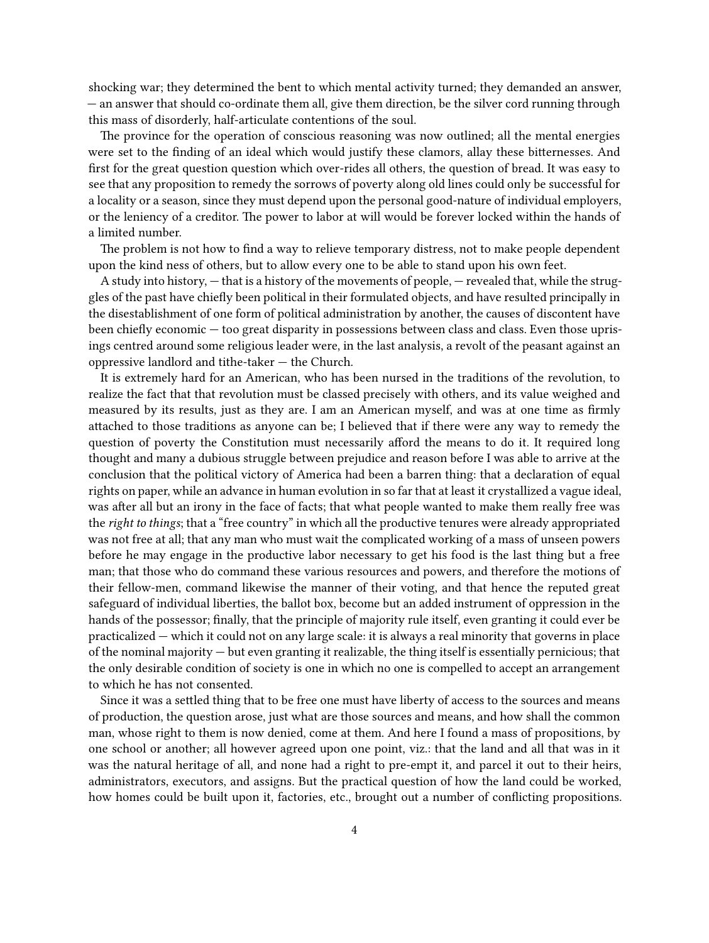shocking war; they determined the bent to which mental activity turned; they demanded an answer, — an answer that should co-ordinate them all, give them direction, be the silver cord running through this mass of disorderly, half-articulate contentions of the soul.

The province for the operation of conscious reasoning was now outlined; all the mental energies were set to the finding of an ideal which would justify these clamors, allay these bitternesses. And first for the great question question which over-rides all others, the question of bread. It was easy to see that any proposition to remedy the sorrows of poverty along old lines could only be successful for a locality or a season, since they must depend upon the personal good-nature of individual employers, or the leniency of a creditor. The power to labor at will would be forever locked within the hands of a limited number.

The problem is not how to find a way to relieve temporary distress, not to make people dependent upon the kind ness of others, but to allow every one to be able to stand upon his own feet.

A study into history, — that is a history of the movements of people, — revealed that, while the struggles of the past have chiefly been political in their formulated objects, and have resulted principally in the disestablishment of one form of political administration by another, the causes of discontent have been chiefly economic — too great disparity in possessions between class and class. Even those uprisings centred around some religious leader were, in the last analysis, a revolt of the peasant against an oppressive landlord and tithe-taker — the Church.

It is extremely hard for an American, who has been nursed in the traditions of the revolution, to realize the fact that that revolution must be classed precisely with others, and its value weighed and measured by its results, just as they are. I am an American myself, and was at one time as firmly attached to those traditions as anyone can be; I believed that if there were any way to remedy the question of poverty the Constitution must necessarily afford the means to do it. It required long thought and many a dubious struggle between prejudice and reason before I was able to arrive at the conclusion that the political victory of America had been a barren thing: that a declaration of equal rights on paper, while an advance in human evolution in so far that at least it crystallized a vague ideal, was after all but an irony in the face of facts; that what people wanted to make them really free was the *right to things*; that a "free country" in which all the productive tenures were already appropriated was not free at all; that any man who must wait the complicated working of a mass of unseen powers before he may engage in the productive labor necessary to get his food is the last thing but a free man; that those who do command these various resources and powers, and therefore the motions of their fellow-men, command likewise the manner of their voting, and that hence the reputed great safeguard of individual liberties, the ballot box, become but an added instrument of oppression in the hands of the possessor; finally, that the principle of majority rule itself, even granting it could ever be practicalized — which it could not on any large scale: it is always a real minority that governs in place of the nominal majority — but even granting it realizable, the thing itself is essentially pernicious; that the only desirable condition of society is one in which no one is compelled to accept an arrangement to which he has not consented.

Since it was a settled thing that to be free one must have liberty of access to the sources and means of production, the question arose, just what are those sources and means, and how shall the common man, whose right to them is now denied, come at them. And here I found a mass of propositions, by one school or another; all however agreed upon one point, viz.: that the land and all that was in it was the natural heritage of all, and none had a right to pre-empt it, and parcel it out to their heirs, administrators, executors, and assigns. But the practical question of how the land could be worked, how homes could be built upon it, factories, etc., brought out a number of conflicting propositions.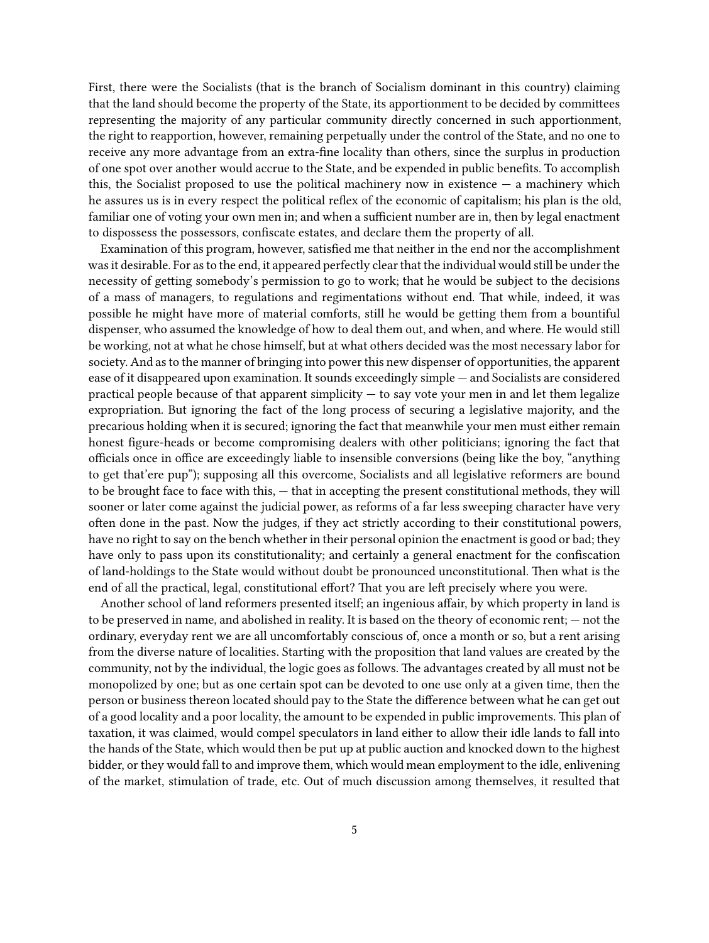First, there were the Socialists (that is the branch of Socialism dominant in this country) claiming that the land should become the property of the State, its apportionment to be decided by committees representing the majority of any particular community directly concerned in such apportionment, the right to reapportion, however, remaining perpetually under the control of the State, and no one to receive any more advantage from an extra-fine locality than others, since the surplus in production of one spot over another would accrue to the State, and be expended in public benefits. To accomplish this, the Socialist proposed to use the political machinery now in existence  $-$  a machinery which he assures us is in every respect the political reflex of the economic of capitalism; his plan is the old, familiar one of voting your own men in; and when a sufficient number are in, then by legal enactment to dispossess the possessors, confiscate estates, and declare them the property of all.

Examination of this program, however, satisfied me that neither in the end nor the accomplishment was it desirable. For as to the end, it appeared perfectly clear that the individual would still be under the necessity of getting somebody's permission to go to work; that he would be subject to the decisions of a mass of managers, to regulations and regimentations without end. That while, indeed, it was possible he might have more of material comforts, still he would be getting them from a bountiful dispenser, who assumed the knowledge of how to deal them out, and when, and where. He would still be working, not at what he chose himself, but at what others decided was the most necessary labor for society. And as to the manner of bringing into power this new dispenser of opportunities, the apparent ease of it disappeared upon examination. It sounds exceedingly simple — and Socialists are considered practical people because of that apparent simplicity — to say vote your men in and let them legalize expropriation. But ignoring the fact of the long process of securing a legislative majority, and the precarious holding when it is secured; ignoring the fact that meanwhile your men must either remain honest figure-heads or become compromising dealers with other politicians; ignoring the fact that officials once in office are exceedingly liable to insensible conversions (being like the boy, "anything to get that'ere pup"); supposing all this overcome, Socialists and all legislative reformers are bound to be brought face to face with this, — that in accepting the present constitutional methods, they will sooner or later come against the judicial power, as reforms of a far less sweeping character have very often done in the past. Now the judges, if they act strictly according to their constitutional powers, have no right to say on the bench whether in their personal opinion the enactment is good or bad; they have only to pass upon its constitutionality; and certainly a general enactment for the confiscation of land-holdings to the State would without doubt be pronounced unconstitutional. Then what is the end of all the practical, legal, constitutional effort? That you are left precisely where you were.

Another school of land reformers presented itself; an ingenious affair, by which property in land is to be preserved in name, and abolished in reality. It is based on the theory of economic rent; — not the ordinary, everyday rent we are all uncomfortably conscious of, once a month or so, but a rent arising from the diverse nature of localities. Starting with the proposition that land values are created by the community, not by the individual, the logic goes as follows. The advantages created by all must not be monopolized by one; but as one certain spot can be devoted to one use only at a given time, then the person or business thereon located should pay to the State the difference between what he can get out of a good locality and a poor locality, the amount to be expended in public improvements. This plan of taxation, it was claimed, would compel speculators in land either to allow their idle lands to fall into the hands of the State, which would then be put up at public auction and knocked down to the highest bidder, or they would fall to and improve them, which would mean employment to the idle, enlivening of the market, stimulation of trade, etc. Out of much discussion among themselves, it resulted that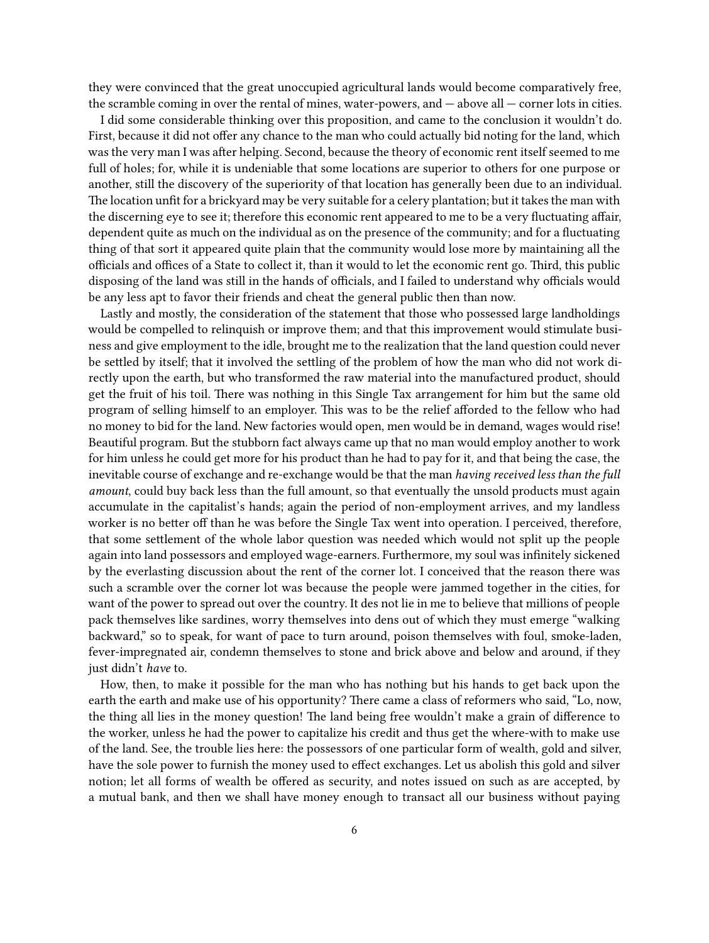they were convinced that the great unoccupied agricultural lands would become comparatively free, the scramble coming in over the rental of mines, water-powers, and — above all — corner lots in cities.

I did some considerable thinking over this proposition, and came to the conclusion it wouldn't do. First, because it did not offer any chance to the man who could actually bid noting for the land, which was the very man I was after helping. Second, because the theory of economic rent itself seemed to me full of holes; for, while it is undeniable that some locations are superior to others for one purpose or another, still the discovery of the superiority of that location has generally been due to an individual. The location unfit for a brickyard may be very suitable for a celery plantation; but it takes the man with the discerning eye to see it; therefore this economic rent appeared to me to be a very fluctuating affair, dependent quite as much on the individual as on the presence of the community; and for a fluctuating thing of that sort it appeared quite plain that the community would lose more by maintaining all the officials and offices of a State to collect it, than it would to let the economic rent go. Third, this public disposing of the land was still in the hands of officials, and I failed to understand why officials would be any less apt to favor their friends and cheat the general public then than now.

Lastly and mostly, the consideration of the statement that those who possessed large landholdings would be compelled to relinquish or improve them; and that this improvement would stimulate business and give employment to the idle, brought me to the realization that the land question could never be settled by itself; that it involved the settling of the problem of how the man who did not work directly upon the earth, but who transformed the raw material into the manufactured product, should get the fruit of his toil. There was nothing in this Single Tax arrangement for him but the same old program of selling himself to an employer. This was to be the relief afforded to the fellow who had no money to bid for the land. New factories would open, men would be in demand, wages would rise! Beautiful program. But the stubborn fact always came up that no man would employ another to work for him unless he could get more for his product than he had to pay for it, and that being the case, the inevitable course of exchange and re-exchange would be that the man *having received less than the full amount*, could buy back less than the full amount, so that eventually the unsold products must again accumulate in the capitalist's hands; again the period of non-employment arrives, and my landless worker is no better off than he was before the Single Tax went into operation. I perceived, therefore, that some settlement of the whole labor question was needed which would not split up the people again into land possessors and employed wage-earners. Furthermore, my soul was infinitely sickened by the everlasting discussion about the rent of the corner lot. I conceived that the reason there was such a scramble over the corner lot was because the people were jammed together in the cities, for want of the power to spread out over the country. It des not lie in me to believe that millions of people pack themselves like sardines, worry themselves into dens out of which they must emerge "walking backward," so to speak, for want of pace to turn around, poison themselves with foul, smoke-laden, fever-impregnated air, condemn themselves to stone and brick above and below and around, if they just didn't *have* to.

How, then, to make it possible for the man who has nothing but his hands to get back upon the earth the earth and make use of his opportunity? There came a class of reformers who said, "Lo, now, the thing all lies in the money question! The land being free wouldn't make a grain of difference to the worker, unless he had the power to capitalize his credit and thus get the where-with to make use of the land. See, the trouble lies here: the possessors of one particular form of wealth, gold and silver, have the sole power to furnish the money used to effect exchanges. Let us abolish this gold and silver notion; let all forms of wealth be offered as security, and notes issued on such as are accepted, by a mutual bank, and then we shall have money enough to transact all our business without paying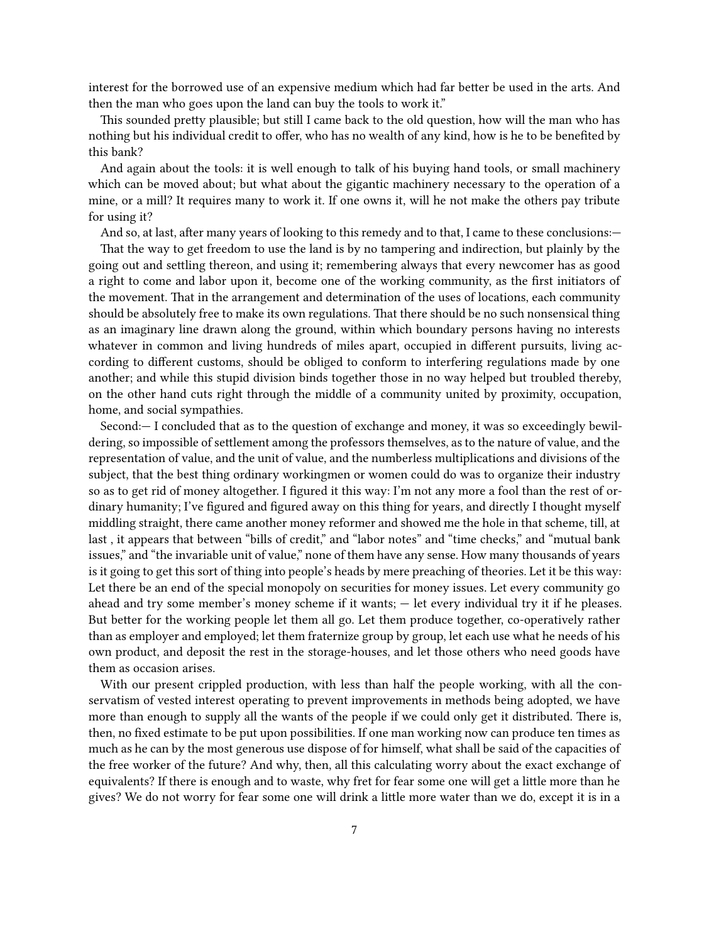interest for the borrowed use of an expensive medium which had far better be used in the arts. And then the man who goes upon the land can buy the tools to work it."

This sounded pretty plausible; but still I came back to the old question, how will the man who has nothing but his individual credit to offer, who has no wealth of any kind, how is he to be benefited by this bank?

And again about the tools: it is well enough to talk of his buying hand tools, or small machinery which can be moved about; but what about the gigantic machinery necessary to the operation of a mine, or a mill? It requires many to work it. If one owns it, will he not make the others pay tribute for using it?

And so, at last, after many years of looking to this remedy and to that, I came to these conclusions:

That the way to get freedom to use the land is by no tampering and indirection, but plainly by the going out and settling thereon, and using it; remembering always that every newcomer has as good a right to come and labor upon it, become one of the working community, as the first initiators of the movement. That in the arrangement and determination of the uses of locations, each community should be absolutely free to make its own regulations. That there should be no such nonsensical thing as an imaginary line drawn along the ground, within which boundary persons having no interests whatever in common and living hundreds of miles apart, occupied in different pursuits, living according to different customs, should be obliged to conform to interfering regulations made by one another; and while this stupid division binds together those in no way helped but troubled thereby, on the other hand cuts right through the middle of a community united by proximity, occupation, home, and social sympathies.

Second:— I concluded that as to the question of exchange and money, it was so exceedingly bewildering, so impossible of settlement among the professors themselves, as to the nature of value, and the representation of value, and the unit of value, and the numberless multiplications and divisions of the subject, that the best thing ordinary workingmen or women could do was to organize their industry so as to get rid of money altogether. I figured it this way: I'm not any more a fool than the rest of ordinary humanity; I've figured and figured away on this thing for years, and directly I thought myself middling straight, there came another money reformer and showed me the hole in that scheme, till, at last , it appears that between "bills of credit," and "labor notes" and "time checks," and "mutual bank issues," and "the invariable unit of value," none of them have any sense. How many thousands of years is it going to get this sort of thing into people's heads by mere preaching of theories. Let it be this way: Let there be an end of the special monopoly on securities for money issues. Let every community go ahead and try some member's money scheme if it wants; — let every individual try it if he pleases. But better for the working people let them all go. Let them produce together, co-operatively rather than as employer and employed; let them fraternize group by group, let each use what he needs of his own product, and deposit the rest in the storage-houses, and let those others who need goods have them as occasion arises.

With our present crippled production, with less than half the people working, with all the conservatism of vested interest operating to prevent improvements in methods being adopted, we have more than enough to supply all the wants of the people if we could only get it distributed. There is, then, no fixed estimate to be put upon possibilities. If one man working now can produce ten times as much as he can by the most generous use dispose of for himself, what shall be said of the capacities of the free worker of the future? And why, then, all this calculating worry about the exact exchange of equivalents? If there is enough and to waste, why fret for fear some one will get a little more than he gives? We do not worry for fear some one will drink a little more water than we do, except it is in a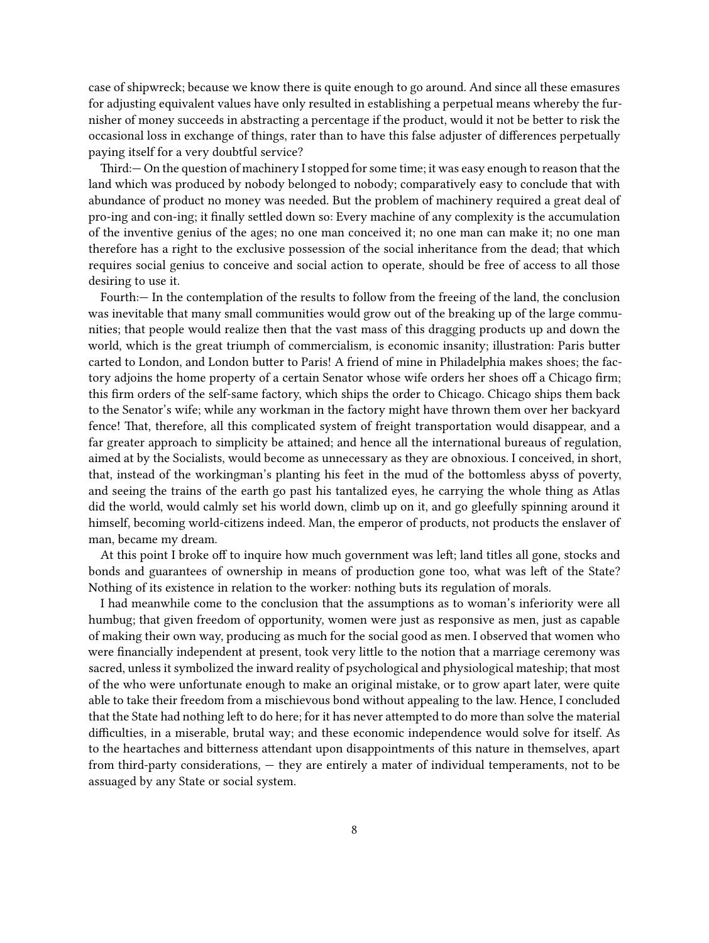case of shipwreck; because we know there is quite enough to go around. And since all these emasures for adjusting equivalent values have only resulted in establishing a perpetual means whereby the furnisher of money succeeds in abstracting a percentage if the product, would it not be better to risk the occasional loss in exchange of things, rater than to have this false adjuster of differences perpetually paying itself for a very doubtful service?

Third:— On the question of machinery I stopped for some time; it was easy enough to reason that the land which was produced by nobody belonged to nobody; comparatively easy to conclude that with abundance of product no money was needed. But the problem of machinery required a great deal of pro-ing and con-ing; it finally settled down so: Every machine of any complexity is the accumulation of the inventive genius of the ages; no one man conceived it; no one man can make it; no one man therefore has a right to the exclusive possession of the social inheritance from the dead; that which requires social genius to conceive and social action to operate, should be free of access to all those desiring to use it.

Fourth:— In the contemplation of the results to follow from the freeing of the land, the conclusion was inevitable that many small communities would grow out of the breaking up of the large communities; that people would realize then that the vast mass of this dragging products up and down the world, which is the great triumph of commercialism, is economic insanity; illustration: Paris butter carted to London, and London butter to Paris! A friend of mine in Philadelphia makes shoes; the factory adjoins the home property of a certain Senator whose wife orders her shoes off a Chicago firm; this firm orders of the self-same factory, which ships the order to Chicago. Chicago ships them back to the Senator's wife; while any workman in the factory might have thrown them over her backyard fence! That, therefore, all this complicated system of freight transportation would disappear, and a far greater approach to simplicity be attained; and hence all the international bureaus of regulation, aimed at by the Socialists, would become as unnecessary as they are obnoxious. I conceived, in short, that, instead of the workingman's planting his feet in the mud of the bottomless abyss of poverty, and seeing the trains of the earth go past his tantalized eyes, he carrying the whole thing as Atlas did the world, would calmly set his world down, climb up on it, and go gleefully spinning around it himself, becoming world-citizens indeed. Man, the emperor of products, not products the enslaver of man, became my dream.

At this point I broke off to inquire how much government was left; land titles all gone, stocks and bonds and guarantees of ownership in means of production gone too, what was left of the State? Nothing of its existence in relation to the worker: nothing buts its regulation of morals.

I had meanwhile come to the conclusion that the assumptions as to woman's inferiority were all humbug; that given freedom of opportunity, women were just as responsive as men, just as capable of making their own way, producing as much for the social good as men. I observed that women who were financially independent at present, took very little to the notion that a marriage ceremony was sacred, unless it symbolized the inward reality of psychological and physiological mateship; that most of the who were unfortunate enough to make an original mistake, or to grow apart later, were quite able to take their freedom from a mischievous bond without appealing to the law. Hence, I concluded that the State had nothing left to do here; for it has never attempted to do more than solve the material difficulties, in a miserable, brutal way; and these economic independence would solve for itself. As to the heartaches and bitterness attendant upon disappointments of this nature in themselves, apart from third-party considerations, — they are entirely a mater of individual temperaments, not to be assuaged by any State or social system.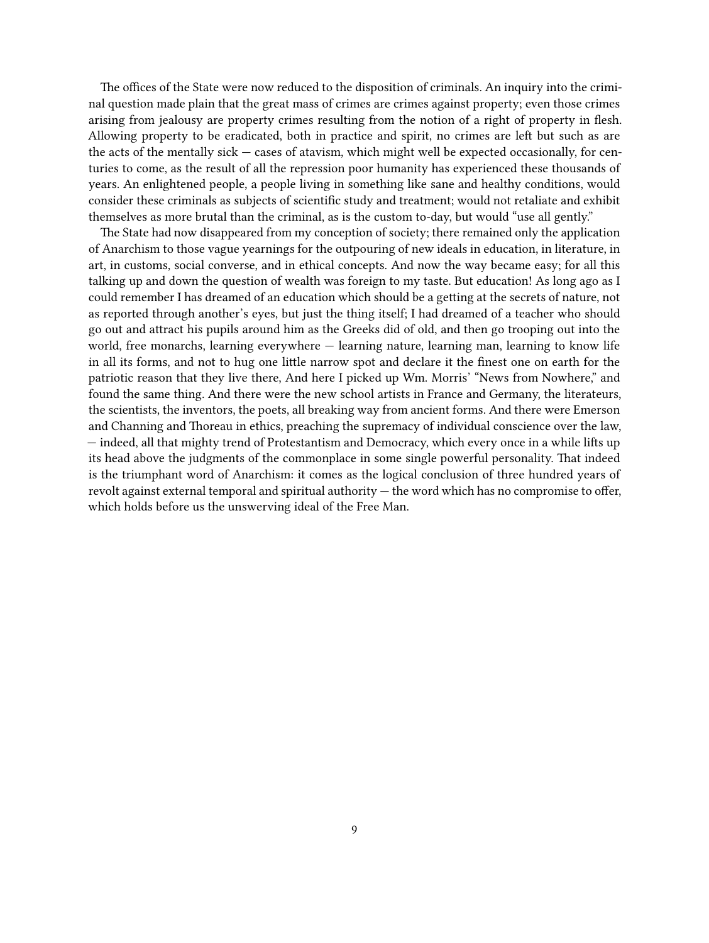The offices of the State were now reduced to the disposition of criminals. An inquiry into the criminal question made plain that the great mass of crimes are crimes against property; even those crimes arising from jealousy are property crimes resulting from the notion of a right of property in flesh. Allowing property to be eradicated, both in practice and spirit, no crimes are left but such as are the acts of the mentally sick — cases of atavism, which might well be expected occasionally, for centuries to come, as the result of all the repression poor humanity has experienced these thousands of years. An enlightened people, a people living in something like sane and healthy conditions, would consider these criminals as subjects of scientific study and treatment; would not retaliate and exhibit themselves as more brutal than the criminal, as is the custom to-day, but would "use all gently."

The State had now disappeared from my conception of society; there remained only the application of Anarchism to those vague yearnings for the outpouring of new ideals in education, in literature, in art, in customs, social converse, and in ethical concepts. And now the way became easy; for all this talking up and down the question of wealth was foreign to my taste. But education! As long ago as I could remember I has dreamed of an education which should be a getting at the secrets of nature, not as reported through another's eyes, but just the thing itself; I had dreamed of a teacher who should go out and attract his pupils around him as the Greeks did of old, and then go trooping out into the world, free monarchs, learning everywhere — learning nature, learning man, learning to know life in all its forms, and not to hug one little narrow spot and declare it the finest one on earth for the patriotic reason that they live there, And here I picked up Wm. Morris' "News from Nowhere," and found the same thing. And there were the new school artists in France and Germany, the literateurs, the scientists, the inventors, the poets, all breaking way from ancient forms. And there were Emerson and Channing and Thoreau in ethics, preaching the supremacy of individual conscience over the law, — indeed, all that mighty trend of Protestantism and Democracy, which every once in a while lifts up its head above the judgments of the commonplace in some single powerful personality. That indeed is the triumphant word of Anarchism: it comes as the logical conclusion of three hundred years of revolt against external temporal and spiritual authority — the word which has no compromise to offer, which holds before us the unswerving ideal of the Free Man.